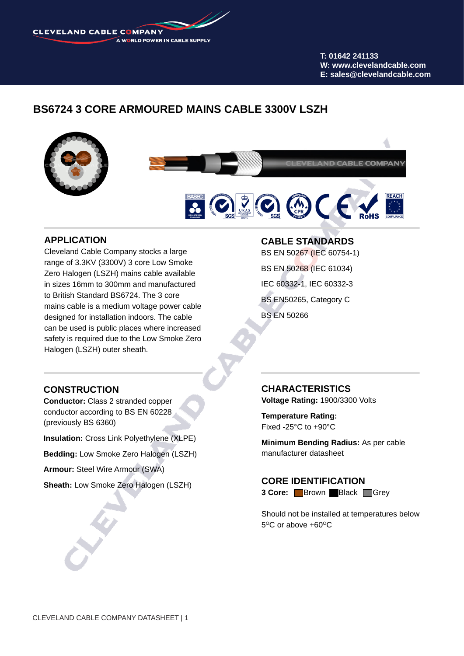**CLEVELAND CABLE COMPANY** A WORLD POWER IN CABLE SUPPLY

> **T: 01642 241133 W: www.clevelandcable.com E: sales@clevelandcable.com**

# **BS6724 3 CORE ARMOURED MAINS CABLE 3300V LSZH**



### **APPLICATION**

Cleveland Cable Company stocks a large range of 3.3KV (3300V) 3 core Low Smoke Zero Halogen (LSZH) mains cable available in sizes 16mm to 300mm and manufactured to British Standard BS6724. The 3 core mains cable is a medium voltage power cable designed for installation indoors. The cable can be used is public places where increased safety is required due to the Low Smoke Zero Halogen (LSZH) outer sheath.

### **CABLE STANDARDS**

BS EN 50267 (IEC 60754-1) BS EN 50268 (IEC 61034) IEC 60332-1, IEC 60332-3 BS EN50265, Category C BS EN 50266

## **CONSTRUCTION**

**Conductor:** Class 2 stranded copper conductor according to BS EN 60228 (previously BS 6360)

**Insulation:** Cross Link Polyethylene (XLPE)

**Bedding:** Low Smoke Zero Halogen (LSZH)

**Armour:** Steel Wire Armour (SWA)

**Sheath:** Low Smoke Zero Halogen (LSZH)

#### **CHARACTERISTICS**

**Voltage Rating:** 1900/3300 Volts

**Temperature Rating:**  Fixed -25°C to +90°C

**Minimum Bending Radius:** As per cable manufacturer datasheet

**CORE IDENTIFICATION 3 Core:** Brown Black Grey

Should not be installed at temperatures below  $5^{\circ}$ C or above +60 $^{\circ}$ C